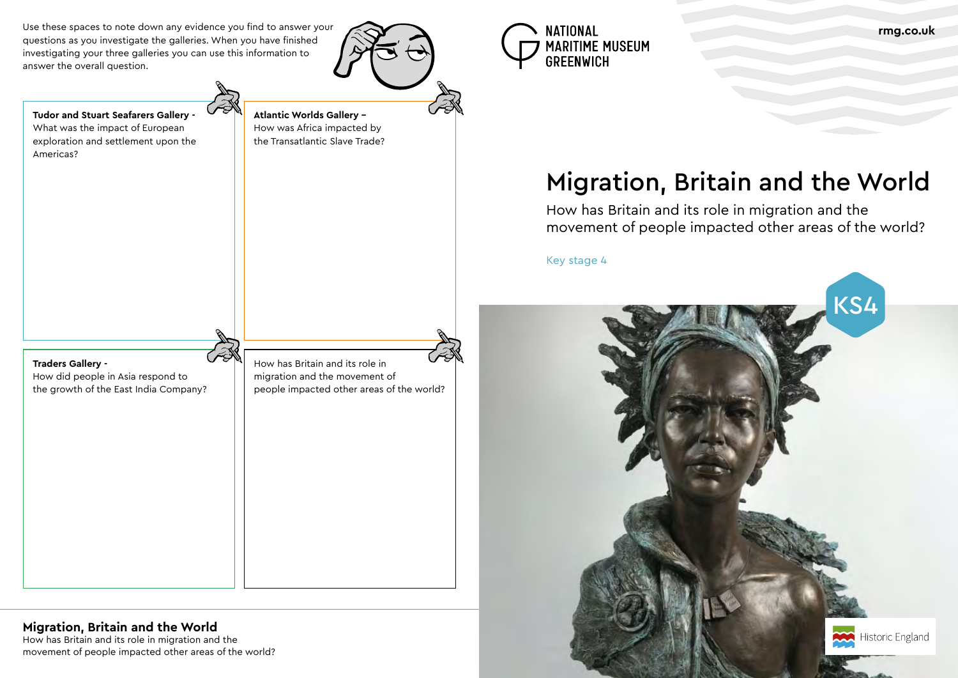Costume and dyes

How has Britain and its role in migration and the movement of people impacted other areas of the world?

# Migration, Britain and the World

How has Britain and its role in migration and the

## movement of people impacted other areas of the world?

Key stage 4

**Classics** Equation Equation Equation Equation Equation Equation Equation Equation Equation Equation Equation Equation Equation Equation Equation Equation Equation Equation Equation Equation Equation Equation Equation Equa

Use these spaces to note down any evidence you find to answer your questions as you investigate the galleries. When you have finished investigating your three galleries you can use this information to answer the overall question.



**Tudor and Stuart Seafarers Gallery -**  What was the impact of European exploration and settlement upon the

Americas?

**Atlantic Worlds Gallery –**  How was Africa impacted by the Transatlantic Slave Trade?





How did people in Asia respond to the growth of the East India Company?

How has Britain and its role in migration and the movement of people impacted other areas of the world?



## **Migration, Britain and the World**



**rmg.co.uk**